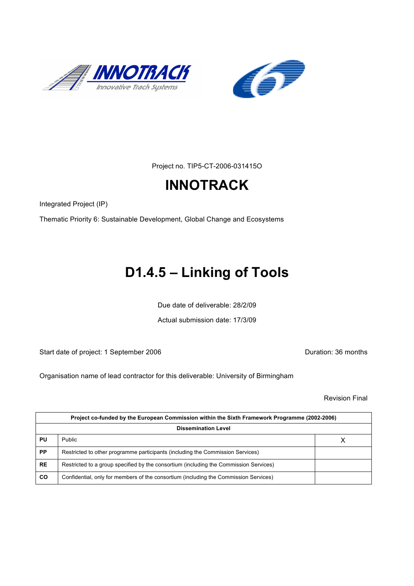



Project no. TIP5-CT-2006-031415O

# **INNOTRACK**

Integrated Project (IP)

Thematic Priority 6: Sustainable Development, Global Change and Ecosystems

# **D1.4.5 – Linking of Tools**

Due date of deliverable: 28/2/09

Actual submission date: 17/3/09

Start date of project: 1 September 2006 **Duration: 36 months** 

Organisation name of lead contractor for this deliverable: University of Birmingham

Revision Final

| Project co-funded by the European Commission within the Sixth Framework Programme (2002-2006) |                                                                                       |  |  |
|-----------------------------------------------------------------------------------------------|---------------------------------------------------------------------------------------|--|--|
| <b>Dissemination Level</b>                                                                    |                                                                                       |  |  |
| PU                                                                                            | Public                                                                                |  |  |
| <b>PP</b>                                                                                     | Restricted to other programme participants (including the Commission Services)        |  |  |
| <b>RE</b>                                                                                     | Restricted to a group specified by the consortium (including the Commission Services) |  |  |
| CO                                                                                            | Confidential, only for members of the consortium (including the Commission Services)  |  |  |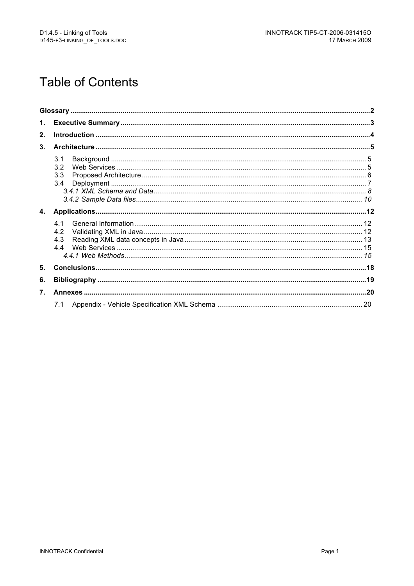## **Table of Contents**

| $\mathbf{1}$ . |                          |  |
|----------------|--------------------------|--|
| 2.             |                          |  |
| 3.             |                          |  |
|                | 3.1<br>3.2<br>3.3<br>3.4 |  |
| 4.             |                          |  |
|                | 41<br>4.2<br>4.3<br>44   |  |
| 5.             |                          |  |
| 6.             |                          |  |
| 7 <sub>1</sub> |                          |  |
|                | 7.1                      |  |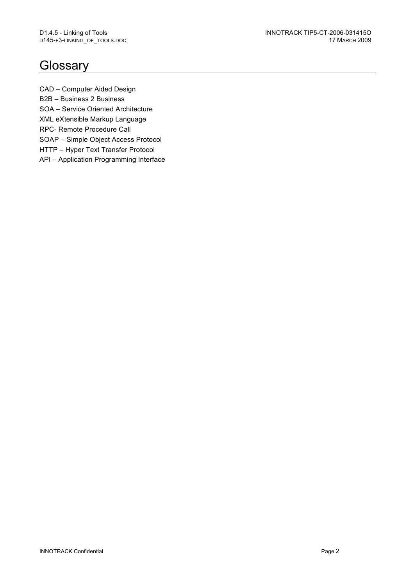## **Glossary**

CAD – Computer Aided Design B2B – Business 2 Business SOA – Service Oriented Architecture XML eXtensible Markup Language RPC- Remote Procedure Call SOAP – Simple Object Access Protocol HTTP – Hyper Text Transfer Protocol

API – Application Programming Interface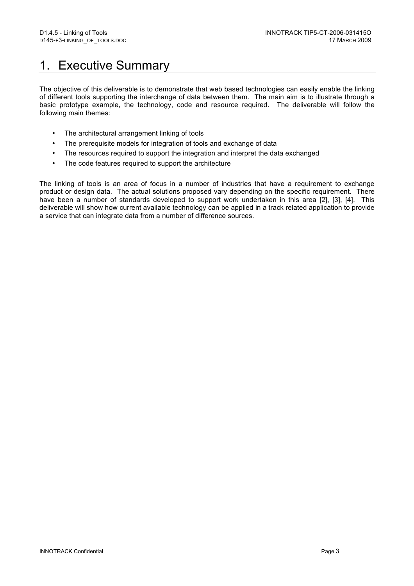## 1. Executive Summary

The objective of this deliverable is to demonstrate that web based technologies can easily enable the linking of different tools supporting the interchange of data between them. The main aim is to illustrate through a basic prototype example, the technology, code and resource required. The deliverable will follow the following main themes:

- The architectural arrangement linking of tools
- The prerequisite models for integration of tools and exchange of data
- The resources required to support the integration and interpret the data exchanged
- The code features required to support the architecture

The linking of tools is an area of focus in a number of industries that have a requirement to exchange product or design data. The actual solutions proposed vary depending on the specific requirement. There have been a number of standards developed to support work undertaken in this area [2], [3], [4]. This deliverable will show how current available technology can be applied in a track related application to provide a service that can integrate data from a number of difference sources.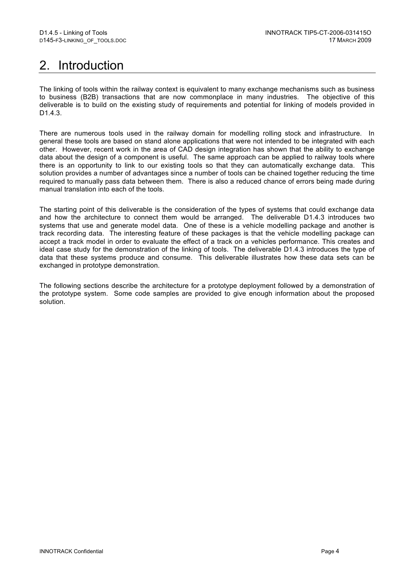# 2. Introduction

The linking of tools within the railway context is equivalent to many exchange mechanisms such as business to business (B2B) transactions that are now commonplace in many industries. The objective of this deliverable is to build on the existing study of requirements and potential for linking of models provided in D1.4.3.

There are numerous tools used in the railway domain for modelling rolling stock and infrastructure. In general these tools are based on stand alone applications that were not intended to be integrated with each other. However, recent work in the area of CAD design integration has shown that the ability to exchange data about the design of a component is useful. The same approach can be applied to railway tools where there is an opportunity to link to our existing tools so that they can automatically exchange data. This solution provides a number of advantages since a number of tools can be chained together reducing the time required to manually pass data between them. There is also a reduced chance of errors being made during manual translation into each of the tools.

The starting point of this deliverable is the consideration of the types of systems that could exchange data and how the architecture to connect them would be arranged. The deliverable D1.4.3 introduces two systems that use and generate model data. One of these is a vehicle modelling package and another is track recording data. The interesting feature of these packages is that the vehicle modelling package can accept a track model in order to evaluate the effect of a track on a vehicles performance. This creates and ideal case study for the demonstration of the linking of tools. The deliverable D1.4.3 introduces the type of data that these systems produce and consume. This deliverable illustrates how these data sets can be exchanged in prototype demonstration.

The following sections describe the architecture for a prototype deployment followed by a demonstration of the prototype system. Some code samples are provided to give enough information about the proposed solution.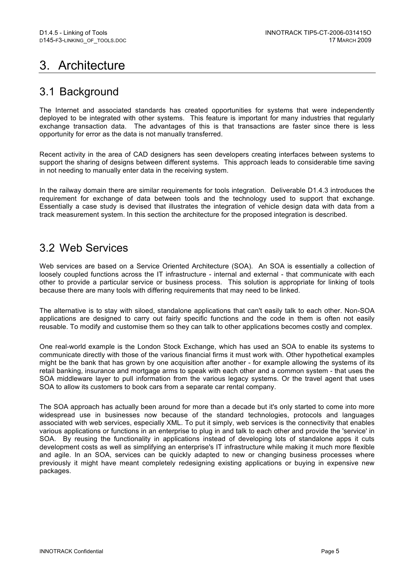# 3. Architecture

### 3.1 Background

The Internet and associated standards has created opportunities for systems that were independently deployed to be integrated with other systems. This feature is important for many industries that regularly exchange transaction data. The advantages of this is that transactions are faster since there is less opportunity for error as the data is not manually transferred.

Recent activity in the area of CAD designers has seen developers creating interfaces between systems to support the sharing of designs between different systems. This approach leads to considerable time saving in not needing to manually enter data in the receiving system.

In the railway domain there are similar requirements for tools integration. Deliverable D1.4.3 introduces the requirement for exchange of data between tools and the technology used to support that exchange. Essentially a case study is devised that illustrates the integration of vehicle design data with data from a track measurement system. In this section the architecture for the proposed integration is described.

### 3.2 Web Services

Web services are based on a Service Oriented Architecture (SOA). An SOA is essentially a collection of loosely coupled functions across the IT infrastructure - internal and external - that communicate with each other to provide a particular service or business process. This solution is appropriate for linking of tools because there are many tools with differing requirements that may need to be linked.

The alternative is to stay with siloed, standalone applications that can't easily talk to each other. Non-SOA applications are designed to carry out fairly specific functions and the code in them is often not easily reusable. To modify and customise them so they can talk to other applications becomes costly and complex.

One real-world example is the London Stock Exchange, which has used an SOA to enable its systems to communicate directly with those of the various financial firms it must work with. Other hypothetical examples might be the bank that has grown by one acquisition after another - for example allowing the systems of its retail banking, insurance and mortgage arms to speak with each other and a common system - that uses the SOA middleware layer to pull information from the various legacy systems. Or the travel agent that uses SOA to allow its customers to book cars from a separate car rental company.

The SOA approach has actually been around for more than a decade but it's only started to come into more widespread use in businesses now because of the standard technologies, protocols and languages associated with web services, especially XML. To put it simply, web services is the connectivity that enables various applications or functions in an enterprise to plug in and talk to each other and provide the 'service' in SOA. By reusing the functionality in applications instead of developing lots of standalone apps it cuts development costs as well as simplifying an enterprise's IT infrastructure while making it much more flexible and agile. In an SOA, services can be quickly adapted to new or changing business processes where previously it might have meant completely redesigning existing applications or buying in expensive new packages.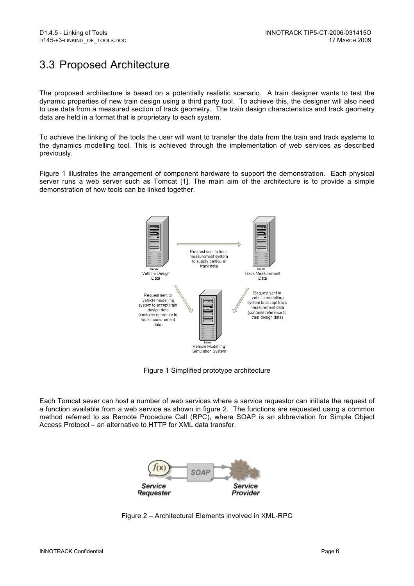## 3.3 Proposed Architecture

The proposed architecture is based on a potentially realistic scenario. A train designer wants to test the dynamic properties of new train design using a third party tool. To achieve this, the designer will also need to use data from a measured section of track geometry. The train design characteristics and track geometry data are held in a format that is proprietary to each system.

To achieve the linking of the tools the user will want to transfer the data from the train and track systems to the dynamics modelling tool. This is achieved through the implementation of web services as described previously.

Figure 1 illustrates the arrangement of component hardware to support the demonstration. Each physical server runs a web server such as Tomcat [1]. The main aim of the architecture is to provide a simple demonstration of how tools can be linked together.



Figure 1 Simplified prototype architecture

Each Tomcat sever can host a number of web services where a service requestor can initiate the request of a function available from a web service as shown in figure 2. The functions are requested using a common method referred to as Remote Procedure Call (RPC), where SOAP is an abbreviation for Simple Object Access Protocol – an alternative to HTTP for XML data transfer.



Figure 2 – Architectural Elements involved in XML-RPC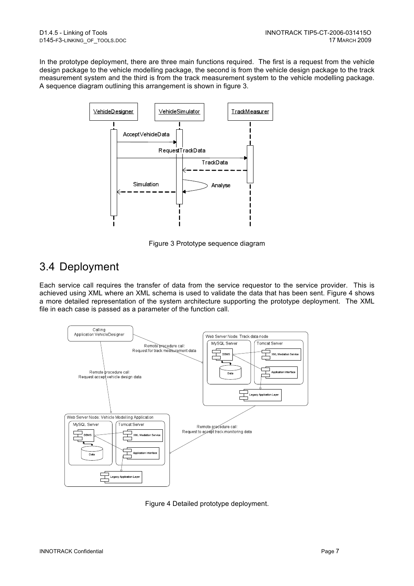In the prototype deployment, there are three main functions required. The first is a request from the vehicle design package to the vehicle modelling package, the second is from the vehicle design package to the track measurement system and the third is from the track measurement system to the vehicle modelling package. A sequence diagram outlining this arrangement is shown in figure 3.



Figure 3 Prototype sequence diagram

### 3.4 Deployment

Each service call requires the transfer of data from the service requestor to the service provider. This is achieved using XML where an XML schema is used to validate the data that has been sent. Figure 4 shows a more detailed representation of the system architecture supporting the prototype deployment. The XML file in each case is passed as a parameter of the function call.



Figure 4 Detailed prototype deployment.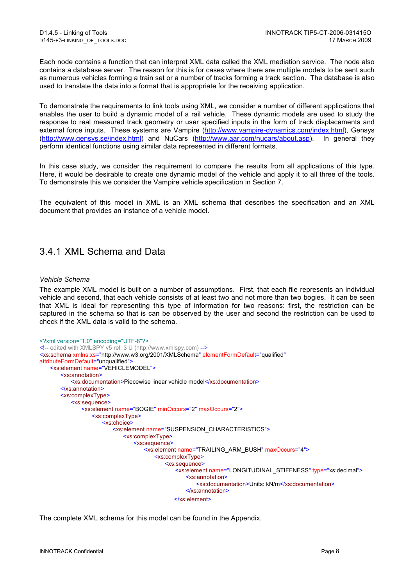Each node contains a function that can interpret XML data called the XML mediation service. The node also contains a database server. The reason for this is for cases where there are multiple models to be sent such as numerous vehicles forming a train set or a number of tracks forming a track section. The database is also used to translate the data into a format that is appropriate for the receiving application.

To demonstrate the requirements to link tools using XML, we consider a number of different applications that enables the user to build a dynamic model of a rail vehicle. These dynamic models are used to study the response to real measured track geometry or user specified inputs in the form of track displacements and external force inputs. These systems are Vampire (http://www.vampire-dynamics.com/index.html), Gensys (http://www.gensys.se/index.html) and NuCars (http://www.aar.com/nucars/about.asp). In general they perform identical functions using similar data represented in different formats.

In this case study, we consider the requirement to compare the results from all applications of this type. Here, it would be desirable to create one dynamic model of the vehicle and apply it to all three of the tools. To demonstrate this we consider the Vampire vehicle specification in Section 7.

The equivalent of this model in XML is an XML schema that describes the specification and an XML document that provides an instance of a vehicle model.

#### 3.4.1 XML Schema and Data

#### *Vehicle Schema*

The example XML model is built on a number of assumptions. First, that each file represents an individual vehicle and second, that each vehicle consists of at least two and not more than two bogies. It can be seen that XML is ideal for representing this type of information for two reasons: first, the restriction can be captured in the schema so that is can be observed by the user and second the restriction can be used to check if the XML data is valid to the schema.

```
<?xml version="1.0" encoding="UTF-8"?>
<!-- edited with XMLSPY v5 rel. 3 U (http://www.xmlspy.com) -->
<xs:schema xmlns:xs="http://www.w3.org/2001/XMLSchema" elementFormDefault="qualified"
attributeFormDefault="unqualified">
   <xs:element name="VEHICLEMODEL">
       <xs:annotation>
          <xs:documentation>Piecewise linear vehicle model</xs:documentation>
       </xs:annotation>
       <xs:complexType>
          <xs:sequence>
              <xs:element name="BOGIE" minOccurs="2" maxOccurs="2">
                 <xs:complexType>
                     <xs:choice>
                         <xs:element name="SUSPENSION_CHARACTERISTICS">
                            <xs:complexType>
                                <xs:sequence>
                                   <xs:element name="TRAILING_ARM_BUSH" maxOccurs="4">
                                       <xs:complexType>
                                           <xs:sequence>
                                              <xs:element name="LONGITUDINAL_STIFFNESS" type="xs:decimal">
                                                  <xs:annotation>
                                                      <xs:documentation>Units: kN/m</xs:documentation>
                                                  </xs:annotation>
                                               </xs:element>
```
The complete XML schema for this model can be found in the Appendix.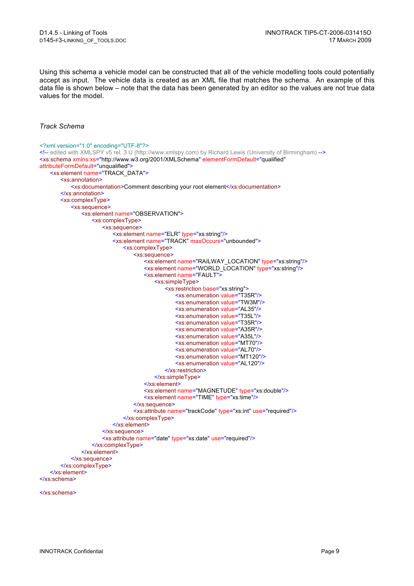Using this schema a vehicle model can be constructed that all of the vehicle modelling tools could potentially accept as input. The vehicle data is created as an XML file that matches the schema. An example of this data file is shown below – note that the data has been generated by an editor so the values are not true data values for the model.

#### *Track Schema*

```
<?xml version="1.0" encoding="UTF-8"?>
<!-- edited with XMLSPY v5 rel. 3 U (http://www.xmlspy.com) by Richard Lewis (University of Birmingham) -->
<xs:schema xmlns:xs="http://www.w3.org/2001/XMLSchema" elementFormDefault="qualified"
attributeFormDefault="unqualified">
   <xs:element name="TRACK_DATA">
       <xs:annotation>
           <xs:documentation>Comment describing your root element</xs:documentation>
       </xs:annotation>
       <xs:complexType>
           <xs:sequence>
              <xs:element name="OBSERVATION">
                  <xs:complexType>
                      <xs:sequence>
                         <xs:element name="ELR" type="xs:string"/>
                         <xs:element name="TRACK" maxOccurs="unbounded">
                             <xs:complexType>
                                 <xs:sequence>
                                    <xs:element name="RAILWAY_LOCATION" type="xs:string"/>
                                    <xs:element name="WORLD_LOCATION" type="xs:string"/>
                                    <xs:element name="FAULT">
                                        <xs:simpleType>
                                           <xs:restriction base="xs:string">
                                               <xs:enumeration value="T35R"/>
                                                <xs:enumeration value="TW3M"/>
                                                <xs:enumeration value="AL35"/>
                                                <xs:enumeration value="T35L"/>
                                                <xs:enumeration value="T35R"/>
                                               <xs:enumeration value="A35R"/>
                                               <xs:enumeration value="A35L"/>
                                                <xs:enumeration value="MT70"/>
                                                <xs:enumeration value="AL70"/>
                                                <xs:enumeration value="MT120"/>
                                                <xs:enumeration value="AL120"/>
                                            </xs:restriction>
                                        </xs:simpleType>
                                    </xs:element>
                                    <xs:element name="MAGNETUDE" type="xs:double"/>
                                    <xs:element name="TIME" type="xs:time"/>
                                 </xs:sequence>
                                 <xs:attribute name="trackCode" type="xs:int" use="required"/>
                             </xs:complexType>
                         </xs:element>
                      </xs:sequence>
                      <xs:attribute name="date" type="xs:date" use="required"/>
                  </xs:complexType>
              </xs:element>
           </xs:sequence>
       </xs:complexType>
   </xs:element>
</xs:schema>
```
</xs:schema>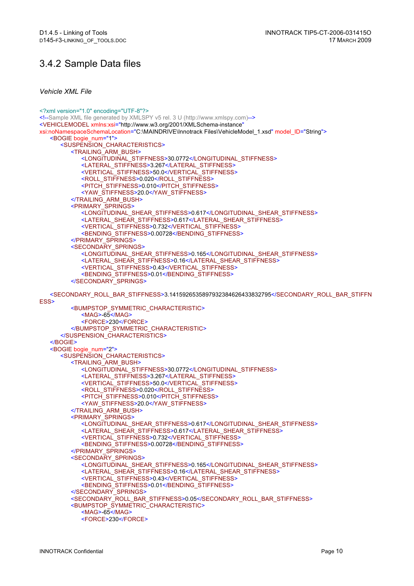#### 3.4.2 Sample Data files

*Vehicle XML File*

<?xml version="1.0" encoding="UTF-8"?> <!--Sample XML file generated by XMLSPY v5 rel. 3 U (http://www.xmlspy.com)--> <VEHICLEMODEL xmlns:xsi="http://www.w3.org/2001/XMLSchema-instance" xsi:noNamespaceSchemaLocation="C:\MAINDRIVE\Innotrack Files\VehicleModel\_1.xsd" model\_ID="String"> <BOGIE bogie\_num="1"> <SUSPENSION\_CHARACTERISTICS> <TRAILING\_ARM\_BUSH> <LONGITUDINAL\_STIFFNESS>30.0772</LONGITUDINAL\_STIFFNESS> <LATERAL\_STIFFNESS>3.267</LATERAL\_STIFFNESS> <VERTICAL\_STIFFNESS>50.0</VERTICAL\_STIFFNESS> <ROLL\_STIFFNESS>0.020</ROLL\_STIFFNESS> <PITCH\_STIFFNESS>0.010</PITCH\_STIFFNESS> <YAW\_STIFFNESS>20.0</YAW\_STIFFNESS> </TRAILING\_ARM\_BUSH> <PRIMARY\_SPRINGS> <LONGITUDINAL\_SHEAR\_STIFFNESS>0.617</LONGITUDINAL\_SHEAR\_STIFFNESS> <LATERAL\_SHEAR\_STIFFNESS>0.617</LATERAL\_SHEAR\_STIFFNESS> <VERTICAL\_STIFFNESS>0.732</VERTICAL\_STIFFNESS> <BENDING\_STIFFNESS>0.00728</BENDING\_STIFFNESS> </PRIMARY\_SPRINGS> <SECONDARY\_SPRINGS> <LONGITUDINAL\_SHEAR\_STIFFNESS>0.165</LONGITUDINAL\_SHEAR\_STIFFNESS> <LATERAL\_SHEAR\_STIFFNESS>0.16</LATERAL\_SHEAR\_STIFFNESS> <VERTICAL\_STIFFNESS>0.43</VERTICAL\_STIFFNESS> <BENDING\_STIFFNESS>0.01</BENDING\_STIFFNESS> </SECONDARY\_SPRINGS> <SECONDARY\_ROLL\_BAR\_STIFFNESS>3.1415926535897932384626433832795</SECONDARY\_ROLL\_BAR\_STIFFN ESS> <BUMPSTOP\_SYMMETRIC\_CHARACTERISTIC>  $<$ MAG>-65 $<$ /MAG> <FORCE>230</FORCE> </BUMPSTOP\_SYMMETRIC\_CHARACTERISTIC> </SUSPENSION\_CHARACTERISTICS> </BOGIE> <BOGIE bogie\_num="2"> <SUSPENSION\_CHARACTERISTICS> <TRAILING\_ARM\_BUSH> <LONGITUDINAL\_STIFFNESS>30.0772</LONGITUDINAL\_STIFFNESS> <LATERAL\_STIFFNESS>3.267</LATERAL\_STIFFNESS> <VERTICAL\_STIFFNESS>50.0</VERTICAL\_STIFFNESS> <ROLL\_STIFFNESS>0.020</ROLL\_STIFFNESS> <PITCH\_STIFFNESS>0.010</PITCH\_STIFFNESS> <YAW\_STIFFNESS>20.0</YAW\_STIFFNESS> </TRAILING\_ARM\_BUSH> <PRIMARY\_SPRINGS> <LONGITUDINAL\_SHEAR\_STIFFNESS>0.617</LONGITUDINAL\_SHEAR\_STIFFNESS> <LATERAL\_SHEAR\_STIFFNESS>0.617</LATERAL\_SHEAR\_STIFFNESS> <VERTICAL\_STIFFNESS>0.732</VERTICAL\_STIFFNESS> <BENDING\_STIFFNESS>0.00728</BENDING\_STIFFNESS> </PRIMARY\_SPRINGS> <SECONDARY\_SPRINGS> <LONGITUDINAL\_SHEAR\_STIFFNESS>0.165</LONGITUDINAL\_SHEAR\_STIFFNESS> <LATERAL\_SHEAR\_STIFFNESS>0.16</LATERAL\_SHEAR\_STIFFNESS> <VERTICAL\_STIFFNESS>0.43</VERTICAL\_STIFFNESS> <BENDING\_STIFFNESS>0.01</BENDING\_STIFFNESS> </SECONDARY\_SPRINGS> <SECONDARY\_ROLL\_BAR\_STIFFNESS>0.05</SECONDARY\_ROLL\_BAR\_STIFFNESS> <BUMPSTOP\_SYMMETRIC\_CHARACTERISTIC> <MAG>-65</MAG> <FORCE>230</FORCE>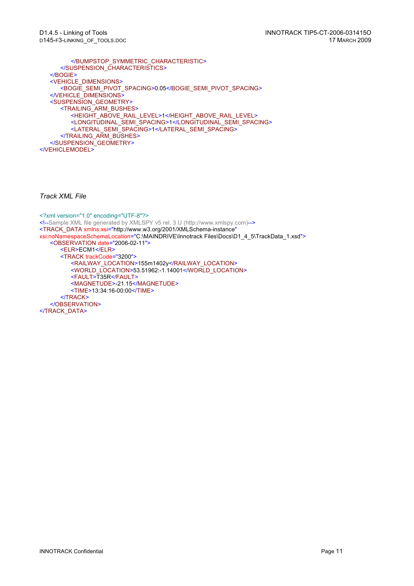</BUMPSTOP\_SYMMETRIC\_CHARACTERISTIC> </SUSPENSION\_CHARACTERISTICS> </BOGIE> <VEHICLE\_DIMENSIONS> <BOGIE\_SEMI\_PIVOT\_SPACING>0.05</BOGIE\_SEMI\_PIVOT\_SPACING> </VEHICLE\_DIMENSIONS> <SUSPENSION\_GEOMETRY> <TRAILING\_ARM\_BUSHES> <HEIGHT\_ABOVE\_RAIL\_LEVEL>1</HEIGHT\_ABOVE\_RAIL\_LEVEL> <LONGITUDINAL\_SEMI\_SPACING>1</LONGITUDINAL\_SEMI\_SPACING> <LATERAL\_SEMI\_SPACING>1</LATERAL\_SEMI\_SPACING> </TRAILING\_ARM\_BUSHES> </SUSPENSION\_GEOMETRY> </VEHICLEMODEL>

*Track XML File*

<?xml version="1.0" encoding="UTF-8"?> <!--Sample XML file generated by XMLSPY v5 rel. 3 U (http://www.xmlspy.com)--> <TRACK\_DATA xmlns:xsi="http://www.w3.org/2001/XMLSchema-instance" xsi:noNamespaceSchemaLocation="C:\MAINDRIVE\Innotrack Files\Docs\D1\_4\_5\TrackData\_1.xsd"> <OBSERVATION date="2006-02-11"> <ELR>ECM1</ELR> <TRACK trackCode="3200"> <RAILWAY\_LOCATION>155m1402y</RAILWAY\_LOCATION> <WORLD\_LOCATION>53.51962:-1.14001</WORLD\_LOCATION> <FAULT>T35R</FAULT> <MAGNETUDE>-21.15</MAGNETUDE> <TIME>13:34:16-00:00</TIME> </TRACK> </OBSERVATION> </TRACK\_DATA>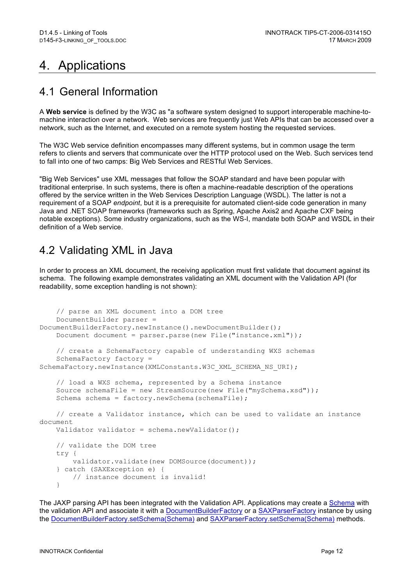# 4. Applications

### 4.1 General Information

A **Web service** is defined by the W3C as "a software system designed to support interoperable machine-tomachine interaction over a network. Web services are frequently just Web APIs that can be accessed over a network, such as the Internet, and executed on a remote system hosting the requested services.

The W3C Web service definition encompasses many different systems, but in common usage the term refers to clients and servers that communicate over the HTTP protocol used on the Web. Such services tend to fall into one of two camps: Big Web Services and RESTful Web Services.

"Big Web Services" use XML messages that follow the SOAP standard and have been popular with traditional enterprise. In such systems, there is often a machine-readable description of the operations offered by the service written in the Web Services Description Language (WSDL). The latter is not a requirement of a SOAP *endpoint*, but it is a prerequisite for automated client-side code generation in many Java and .NET SOAP frameworks (frameworks such as Spring, Apache Axis2 and Apache CXF being notable exceptions). Some industry organizations, such as the WS-I, mandate both SOAP and WSDL in their definition of a Web service.

#### 4.2 Validating XML in Java

In order to process an XML document, the receiving application must first validate that document against its schema. The following example demonstrates validating an XML document with the Validation API (for readability, some exception handling is not shown):

```
 // parse an XML document into a DOM tree
     DocumentBuilder parser = 
DocumentBuilderFactory.newInstance().newDocumentBuilder();
     Document document = parser.parse(new File("instance.xml"));
     // create a SchemaFactory capable of understanding WXS schemas
     SchemaFactory factory = 
SchemaFactory.newInstance(XMLConstants.W3C_XML_SCHEMA_NS_URI);
     // load a WXS schema, represented by a Schema instance
    Source schemaFile = new StreamSource(new File("mySchema.xsd"));
    Schema schema = factory.newSchema(schemaFile);
     // create a Validator instance, which can be used to validate an instance 
document
    Validator validator = schema.newValidator();
     // validate the DOM tree
     try {
         validator.validate(new DOMSource(document));
     } catch (SAXException e) {
         // instance document is invalid!
     }
```
The JAXP parsing API has been integrated with the Validation API. Applications may create a Schema with the validation API and associate it with a DocumentBuilderFactory or a SAXParserFactory instance by using the DocumentBuilderFactory.setSchema(Schema) and SAXParserFactory.setSchema(Schema) methods.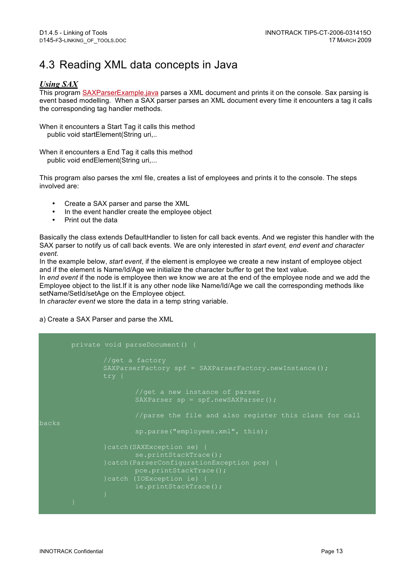## 4.3 Reading XML data concepts in Java

#### *Using SAX*

This program SAXParserExample.java parses a XML document and prints it on the console. Sax parsing is event based modelling. When a SAX parser parses an XML document every time it encounters a tag it calls the corresponding tag handler methods.

When it encounters a Start Tag it calls this method public void startElement(String uri,..

When it encounters a End Tag it calls this method public void endElement(String uri,...

This program also parses the xml file, creates a list of employees and prints it to the console. The steps involved are:

- Create a SAX parser and parse the XML<br>• In the event bandler create the employee
- In the event handler create the employee object
- Print out the data

Basically the class extends DefaultHandler to listen for call back events. And we register this handler with the SAX parser to notify us of call back events. We are only interested in *start event, end event and character event*.

In the example below, *start event*, if the element is employee we create a new instant of employee object and if the element is Name/Id/Age we initialize the character buffer to get the text value.

In *end event* if the node is employee then we know we are at the end of the employee node and we add the Employee object to the list.If it is any other node like Name/Id/Age we call the corresponding methods like setName/SetId/setAge on the Employee object.

In *character event* we store the data in a temp string variable.

a) Create a SAX Parser and parse the XML

```
//get a factory
               SAXParserFactory spf = SAXParserFactory.newInstance();
                       //get a new instance of parser
                       SAXParser sp = spf.newSAXParser();
backs
                       sp.parse("employees.xml", this);
               }catch(SAXException se) {
                       se.printStackTrace();
               }catch(ParserConfigurationException pce) {
                      pce.printStackTrace();
               }catch (IOException ie) {
                      ie.printStackTrace();
```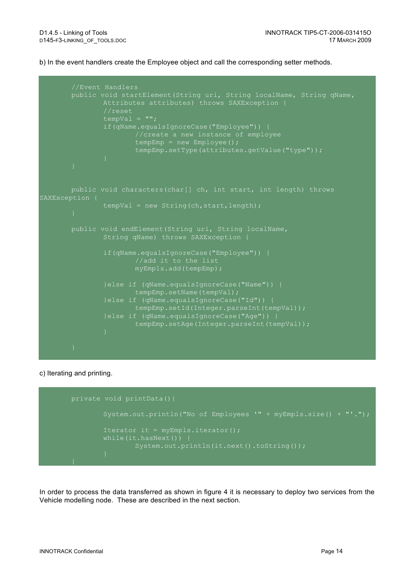b) In the event handlers create the Employee object and call the corresponding setter methods.

```
public void startElement(String uri, String localName, String qName,
               Attributes attributes) throws SAXException {
                \overline{\text{tempVal}} = \underline{\text{""}};if(qName.equalsIgnoreCase("Employee")) {
                        //create a new instance of employee
                        tempEmp = new Emplope();
                        tempEmp.setType(attributes.getValue("type"));
       public void characters(char[] ch, int start, int length) throws
SAXException {
                tempVal = new String(ch, start, length);
                String qName) throws SAXException {
                if(qName.equalsIgnoreCase("Employee")) {
                        myEmpls.add(tempEmp);
                }else if (qName.equalsIgnoreCase("Name")) {
                        tempEmp.setName(tempVal);
                }else if (qName.equalsIgnoreCase("Id")) {
                        tempEmp.setId(Integer.parseInt(tempVal));
                }else if (qName.equalsIgnoreCase("Age")) {
                        tempEmp.setAge(Integer.parseInt(tempVal));
```
#### c) Iterating and printing.



In order to process the data transferred as shown in figure 4 it is necessary to deploy two services from the Vehicle modelling node. These are described in the next section.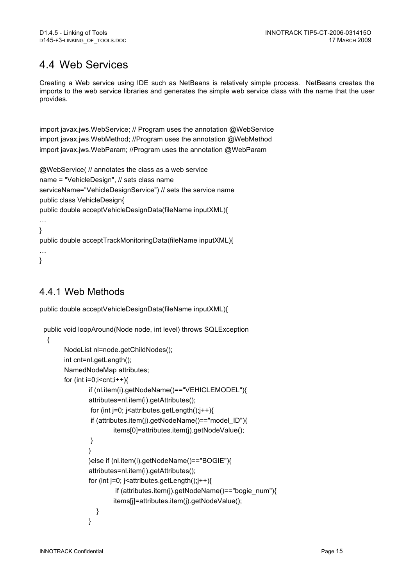## 4.4 Web Services

Creating a Web service using IDE such as NetBeans is relatively simple process. NetBeans creates the imports to the web service libraries and generates the simple web service class with the name that the user provides.

import javax.jws.WebService; // Program uses the annotation @WebService import javax.jws.WebMethod; //Program uses the annotation @WebMethod import javax.jws.WebParam: //Program uses the annotation @WebParam

@WebService( // annotates the class as a web service name = "VehicleDesign", // sets class name serviceName="VehicleDesignService") // sets the service name public class VehicleDesign{ public double acceptVehicleDesignData(fileName inputXML){

… }

public double acceptTrackMonitoringData(fileName inputXML){

… }

#### 4.4.1 Web Methods

public double acceptVehicleDesignData(fileName inputXML){

```
 public void loopAround(Node node, int level) throws SQLException
```

```
 {
```

```
 NodeList nl=node.getChildNodes();
        int cnt=nl.getLength();
        NamedNodeMap attributes;
       for (int i=0;i<cnt;i++){
               if (nl.item(i).getNodeName()=="VEHICLEMODEL"){
               attributes=nl.item(i).getAttributes();
               for (int j=0; j is attributes.getLength();j++}
                if (attributes.item(j).getNodeName()=="model_ID"){
                       items[0]=attributes.item(j).getNodeValue();
 }
 }
               }else if (nl.item(i).getNodeName()=="BOGIE"){
               attributes=nl.item(i).getAttributes();
              for (int j=0; j <attributes.getLength();j++}
                       if (attributes.item(j).getNodeName()=="bogie_num"){
                       items[j]=attributes.item(j).getNodeValue();
 } 
 }
```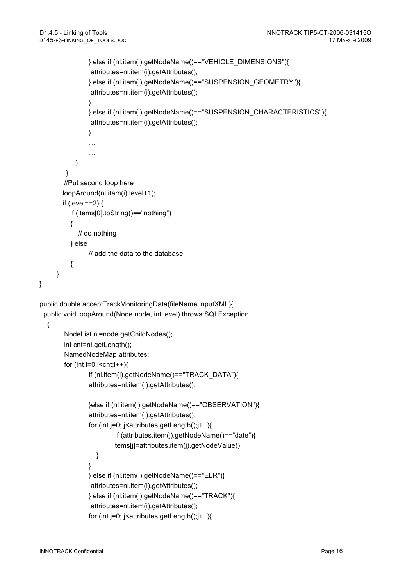```
 } else if (nl.item(i).getNodeName()=="VEHICLE_DIMENSIONS"){
                 attributes=nl.item(i).getAttributes();
                } else if (nl.item(i).getNodeName()=="SUSPENSION_GEOMETRY"){
                 attributes=nl.item(i).getAttributes();
 }
                } else if (nl.item(i).getNodeName()=="SUSPENSION_CHARACTERISTICS"){
                 attributes=nl.item(i).getAttributes();
 }
               …
               …
            }
         }
       //Put second loop here
        loopAround(nl.item(i),level+1);
       if (level==2) \{ if (items[0].toString()=="nothing")
          {
             // do nothing
          } else 
               // add the data to the database
\{ }
public double acceptTrackMonitoringData(fileName inputXML){
  public void loopAround(Node node, int level) throws SQLException
   {
        NodeList nl=node.getChildNodes();
        int cnt=nl.getLength();
        NamedNodeMap attributes;
       for (int i=0;i<cnt;i++){
                if (nl.item(i).getNodeName()=="TRACK_DATA"){
                attributes=nl.item(i).getAttributes();
                }else if (nl.item(i).getNodeName()=="OBSERVATION"){
                attributes=nl.item(i).getAttributes();
               for (int j=0; j<attributes.getLength();j++){
                        if (attributes.item(j).getNodeName()=="date"){
                        items[j]=attributes.item(j).getNodeValue();
 } 
 }
                } else if (nl.item(i).getNodeName()=="ELR"){
                 attributes=nl.item(i).getAttributes();
                } else if (nl.item(i).getNodeName()=="TRACK"){
                 attributes=nl.item(i).getAttributes();
               for (int j=0; j<attributes.getLength();j++){
```
}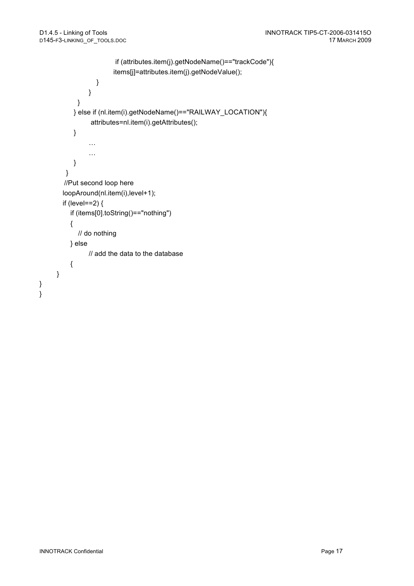```
 if (attributes.item(j).getNodeName()=="trackCode"){
                        items[j]=attributes.item(j).getNodeValue();
 } 
 }
            }
           } else if (nl.item(i).getNodeName()=="RAILWAY_LOCATION"){
                attributes=nl.item(i).getAttributes();
           }
               …
               …
           }
        }
       //Put second loop here
       loopAround(nl.item(i),level+1);
       if (level==2) {
          if (items[0].toString()=="nothing")
          {
            // do nothing
          } else 
               // add the data to the database
          {
     }
```
} }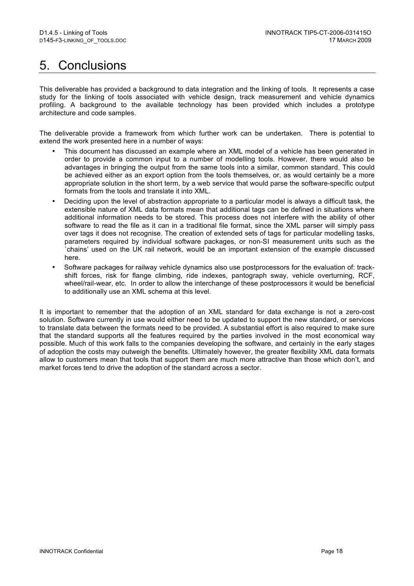## 5. Conclusions

This deliverable has provided a background to data integration and the linking of tools. It represents a case study for the linking of tools associated with vehicle design, track measurement and vehicle dynamics profiling. A background to the available technology has been provided which includes a prototype architecture and code samples.

The deliverable provide a framework from which further work can be undertaken. There is potential to extend the work presented here in a number of ways:

- This document has discussed an example where an XML model of a vehicle has been generated in order to provide a common input to a number of modelling tools. However, there would also be advantages in bringing the output from the same tools into a similar, common standard. This could be achieved either as an export option from the tools themselves, or, as would certainly be a more appropriate solution in the short term, by a web service that would parse the software-specific output formats from the tools and translate it into XML.
- Deciding upon the level of abstraction appropriate to a particular model is always a difficult task, the extensible nature of XML data formats mean that additional tags can be defined in situations where additional information needs to be stored. This process does not interfere with the ability of other software to read the file as it can in a traditional file format, since the XML parser will simply pass over tags it does not recognise. The creation of extended sets of tags for particular modelling tasks, parameters required by individual software packages, or non-SI measurement units such as the `chains' used on the UK rail network, would be an important extension of the example discussed here.
- Software packages for railway vehicle dynamics also use postprocessors for the evaluation of: trackshift forces, risk for flange climbing, ride indexes, pantograph sway, vehicle overturning, RCF, wheel/rail-wear, etc. In order to allow the interchange of these postprocessors it would be beneficial to additionally use an XML schema at this level.

It is important to remember that the adoption of an XML standard for data exchange is not a zero-cost solution. Software currently in use would either need to be updated to support the new standard, or services to translate data between the formats need to be provided. A substantial effort is also required to make sure that the standard supports all the features required by the parties involved in the most economical way possible. Much of this work falls to the companies developing the software, and certainly in the early stages of adoption the costs may outweigh the benefits. Ultimately however, the greater flexibility XML data formats allow to customers mean that tools that support them are much more attractive than those which don't, and market forces tend to drive the adoption of the standard across a sector.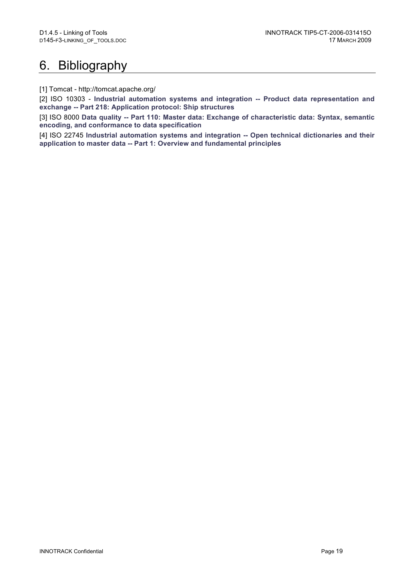# 6. Bibliography

[1] Tomcat - http://tomcat.apache.org/

[2] ISO 10303 - **Industrial automation systems and integration -- Product data representation and exchange -- Part 218: Application protocol: Ship structures**

[3] ISO 8000 **Data quality -- Part 110: Master data: Exchange of characteristic data: Syntax, semantic encoding, and conformance to data specification**

[4] ISO 22745 **Industrial automation systems and integration -- Open technical dictionaries and their application to master data -- Part 1: Overview and fundamental principles**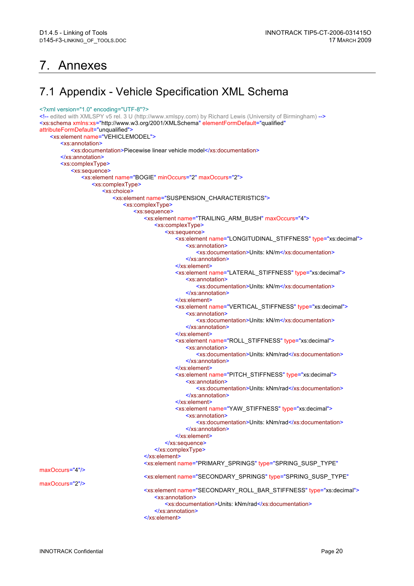## 7. Annexes

### 7.1 Appendix - Vehicle Specification XML Schema

```
<?xml version="1.0" encoding="UTF-8"?>
<!-- edited with XMLSPY v5 rel. 3 U (http://www.xmlspy.com) by Richard Lewis (University of Birmingham) -->
<xs:schema xmlns:xs="http://www.w3.org/2001/XMLSchema" elementFormDefault="qualified"
attributeFormDefault="unqualified">
   <xs:element name="VEHICLEMODEL">
       <xs:annotation>
          <xs:documentation>Piecewise linear vehicle model</xs:documentation>
       </xs:annotation>
       <xs:complexType>
          <xs:sequence>
              <xs:element name="BOGIE" minOccurs="2" maxOccurs="2">
                 <xs:complexType>
                     <xs:choice>
                         <xs:element name="SUSPENSION_CHARACTERISTICS">
                            <xs:complexType>
                                <xs:sequence>
                                   <xs:element name="TRAILING_ARM_BUSH" maxOccurs="4">
                                       <xs:complexType>
                                           <xs:sequence>
                                              <xs:element name="LONGITUDINAL_STIFFNESS" type="xs:decimal">
                                                  <xs:annotation>
                                                      <xs:documentation>Units: kN/m</xs:documentation>
                                                  </xs:annotation>
                                              </xs:element>
                                              <xs:element name="LATERAL_STIFFNESS" type="xs:decimal">
                                                  <xs:annotation>
                                                      <xs:documentation>Units: kN/m</xs:documentation>
                                                  </xs:annotation>
                                              </xs:element>
                                              <xs:element name="VERTICAL_STIFFNESS" type="xs:decimal">
                                                  <xs:annotation>
                                                      <xs:documentation>Units: kN/m</xs:documentation>
                                                  </xs:annotation>
                                              </xs:element>
                                              <xs:element name="ROLL_STIFFNESS" type="xs:decimal">
                                                  <xs:annotation>
                                                      <xs:documentation>Units: kNm/rad</xs:documentation>
                                                  </xs:annotation>
                                              </xs:element>
                                              <xs:element name="PITCH_STIFFNESS" type="xs:decimal">
                                                  <xs:annotation>
                                                      <xs:documentation>Units: kNm/rad</xs:documentation>
                                                  </xs:annotation>
                                              </xs:element>
                                              <xs:element name="YAW_STIFFNESS" type="xs:decimal">
                                                  <xs:annotation>
                                                      <xs:documentation>Units: kNm/rad</xs:documentation>
                                                  </xs:annotation>
                                              </xs:element>
                                           </xs:sequence>
                                       </xs:complexType>
                                    </xs:element>
                                   <xs:element name="PRIMARY_SPRINGS" type="SPRING_SUSP_TYPE"
maxOccurs="4"/>
                                   <xs:element name="SECONDARY_SPRINGS" type="SPRING_SUSP_TYPE"
maxOccurs="2"/>
                                    <xs:element name="SECONDARY_ROLL_BAR_STIFFNESS" type="xs:decimal">
                                       <xs:annotation>
                                           <xs:documentation>Units: kNm/rad</xs:documentation>
                                       </xs:annotation>
                                    </xs:element>
```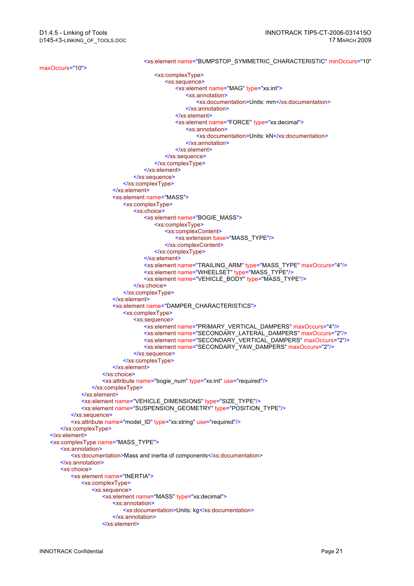<xs:element name="BUMPSTOP\_SYMMETRIC\_CHARACTERISTIC" minOccurs="10" maxOccurs="10"> <xs:complexType> <xs:sequence> <xs:element name="MAG" type="xs:int"> <xs:annotation> <xs:documentation>Units: mm</xs:documentation> </xs:annotation> </xs:element> <xs:element name="FORCE" type="xs:decimal"> <xs:annotation> <xs:documentation>Units: kN</xs:documentation> </xs:annotation> </xs:element> </xs:sequence> </xs:complexType> </xs:element> </xs:sequence> </xs:complexType> </xs:element> <xs:element name="MASS"> <xs:complexType> <xs:choice> <xs:element name="BOGIE\_MASS"> <xs:complexType> <xs:complexContent> <xs:extension base="MASS\_TYPE"/> </xs:complexContent> </xs:complexType> </xs:element> <xs:element name="TRAILING\_ARM" type="MASS\_TYPE" maxOccurs="4"/> <xs:element name="WHEELSET" type="MASS\_TYPE"/> <xs:element name="VEHICLE\_BODY" type="MASS\_TYPE"/> </xs:choice> </xs:complexType> </xs:element> <xs:element name="DAMPER\_CHARACTERISTICS"> <xs:complexType> <xs:sequence> <xs:element name="PRIMARY\_VERTICAL\_DAMPERS" maxOccurs="4"/> <xs:element name="SECONDARY\_LATERAL\_DAMPERS" maxOccurs="2"/> <xs:element name="SECONDARY\_VERTICAL\_DAMPERS" maxOccurs="2"/> <xs:element name="SECONDARY\_YAW\_DAMPERS" maxOccurs="2"/> </xs:sequence> </xs:complexType> </xs:element> </xs:choice> <xs:attribute name="bogie\_num" type="xs:int" use="required"/> </xs:complexType> </xs:element> <xs:element name="VEHICLE\_DIMENSIONS" type="SIZE\_TYPE"/> <xs: element name="SUSPENSION\_GEOMETRY" type="POSITION\_TYPE"/> </xs:sequence> <xs:attribute name="model\_ID" type="xs:string" use="required"/> </xs:complexType> </xs:element> <xs:complexType name="MASS\_TYPE"> <xs:annotation> <xs:documentation>Mass and inertia of components</xs:documentation> </xs:annotation> <xs:choice> <xs:element name="INERTIA"> <xs:complexType> <xs:sequence> <xs:element name="MASS" type="xs:decimal"> <xs:annotation> <xs:documentation>Units: kg</xs:documentation> </xs:annotation> </xs:element>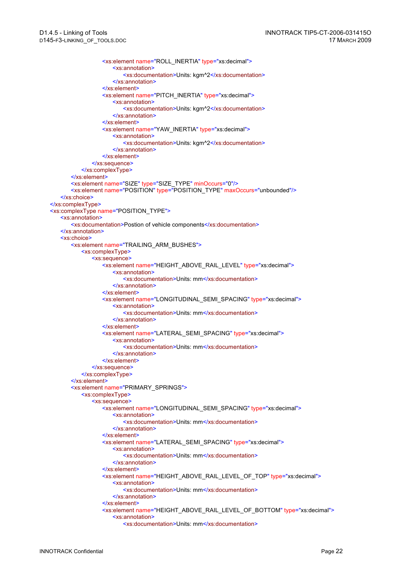<xs:element name="ROLL\_INERTIA" type="xs:decimal"> <xs:annotation> <xs:documentation>Units: kgm^2</xs:documentation> </xs:annotation> </xs:element> <xs:element name="PITCH\_INERTIA" type="xs:decimal"> <xs:annotation> <xs:documentation>Units: kgm^2</xs:documentation> </xs:annotation> </xs:element> <xs:element name="YAW\_INERTIA" type="xs:decimal"> <xs:annotation> <xs:documentation>Units: kgm^2</xs:documentation> </xs:annotation> </xs:element> </xs:sequence> </xs:complexType> </xs:element> <xs:element name="SIZE" type="SIZE\_TYPE" minOccurs="0"/> <xs:element name="POSITION" type="POSITION\_TYPE" maxOccurs="unbounded"/> </xs:choice> </xs:complexType> <xs:complexType name="POSITION\_TYPE"> <xs:annotation> <xs:documentation>Postion of vehicle components</xs:documentation> </xs:annotation> <xs:choice> <xs:element name="TRAILING\_ARM\_BUSHES"> <xs:complexType> <xs:sequence> <xs:element name="HEIGHT\_ABOVE\_RAIL\_LEVEL" type="xs:decimal"> <xs:annotation> <xs:documentation>Units: mm</xs:documentation> </xs:annotation> </xs:element> <xs:element name="LONGITUDINAL\_SEMI\_SPACING" type="xs:decimal"> <xs:annotation> <xs:documentation>Units: mm</xs:documentation> </xs:annotation> </xs:element> <xs:element name="LATERAL\_SEMI\_SPACING" type="xs:decimal"> <xs:annotation> <xs:documentation>Units: mm</xs:documentation> </xs:annotation> </xs:element> </xs:sequence> </xs:complexType> </xs:element> <xs:element name="PRIMARY\_SPRINGS"> <xs:complexType> <xs:sequence> <xs:element name="LONGITUDINAL\_SEMI\_SPACING" type="xs:decimal"> <xs:annotation> <xs:documentation>Units: mm</xs:documentation> </xs:annotation> </xs:element> <xs:element name="LATERAL\_SEMI\_SPACING" type="xs:decimal"> <xs:annotation> <xs:documentation>Units: mm</xs:documentation> </xs:annotation> </xs:element> <xs:element name="HEIGHT\_ABOVE\_RAIL\_LEVEL\_OF\_TOP" type="xs:decimal"> <xs:annotation> <xs:documentation>Units: mm</xs:documentation> </xs:annotation> </xs:element> <xs:element name="HEIGHT\_ABOVE\_RAIL\_LEVEL\_OF\_BOTTOM" type="xs:decimal"> <xs:annotation> <xs:documentation>Units: mm</xs:documentation>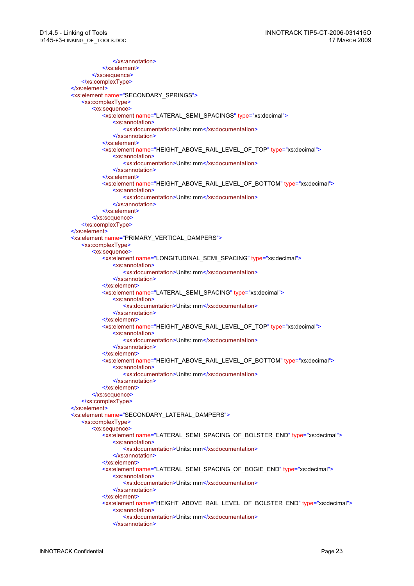```
</xs:annotation>
          </xs:element>
       </xs:sequence>
   </xs:complexType>
</xs:element>
<xs:element name="SECONDARY_SPRINGS">
   <xs:complexType>
       <xs:sequence>
          <xs:element name="LATERAL_SEMI_SPACINGS" type="xs:decimal">
              <xs:annotation>
                 <xs:documentation>Units: mm</xs:documentation>
              </xs:annotation>
          </xs:element>
          <xs:element name="HEIGHT_ABOVE_RAIL_LEVEL_OF_TOP" type="xs:decimal">
              <xs:annotation>
                 <xs:documentation>Units: mm</xs:documentation>
              </xs:annotation>
          </xs:element>
          <xs:element name="HEIGHT_ABOVE_RAIL_LEVEL_OF_BOTTOM" type="xs:decimal">
              <xs:annotation>
                 <xs:documentation>Units: mm</xs:documentation>
             </xs:annotation>
          </xs:element>
       </xs:sequence>
   </xs:complexType>
</xs:element>
<xs:element name="PRIMARY_VERTICAL_DAMPERS">
   <xs:complexType>
       <xs:sequence>
          <xs:element name="LONGITUDINAL_SEMI_SPACING" type="xs:decimal">
              <xs:annotation>
                 <xs:documentation>Units: mm</xs:documentation>
             </xs:annotation>
          </xs:element>
          <xs:element name="LATERAL_SEMI_SPACING" type="xs:decimal">
              <xs:annotation>
                 <xs:documentation>Units: mm</xs:documentation>
              </xs:annotation>
          </xs:element>
          <xs:element name="HEIGHT_ABOVE_RAIL_LEVEL_OF_TOP" type="xs:decimal">
              <xs:annotation>
                 <xs:documentation>Units: mm</xs:documentation>
              </xs:annotation>
          </xs:element>
          <xs:element name="HEIGHT_ABOVE_RAIL_LEVEL_OF_BOTTOM" type="xs:decimal">
              <xs:annotation>
                 <xs:documentation>Units: mm</xs:documentation>
              </xs:annotation>
          </xs:element>
       </xs:sequence>
   </xs:complexType>
</xs:element>
<xs:element name="SECONDARY_LATERAL_DAMPERS">
   <xs:complexType>
       <xs:sequence>
          <xs:element name="LATERAL_SEMI_SPACING_OF_BOLSTER_END" type="xs:decimal">
              <xs:annotation>
                 <xs:documentation>Units: mm</xs:documentation>
              </xs:annotation>
          </xs:element>
          <xs:element name="LATERAL_SEMI_SPACING_OF_BOGIE_END" type="xs:decimal">
              <xs:annotation>
                 <xs:documentation>Units: mm</xs:documentation>
             </xs:annotation>
          </xs:element>
          <xs:element name="HEIGHT_ABOVE_RAIL_LEVEL_OF_BOLSTER_END" type="xs:decimal">
              <xs:annotation>
                 <xs:documentation>Units: mm</xs:documentation>
              </xs:annotation>
```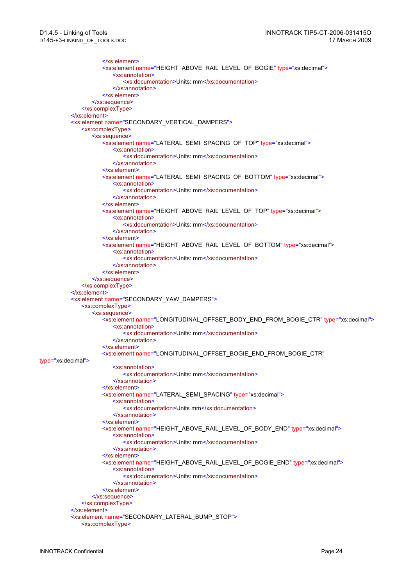```
</xs:element>
                     <xs:element name="HEIGHT_ABOVE_RAIL_LEVEL_OF_BOGIE" type="xs:decimal">
                        <xs:annotation>
                            <xs:documentation>Units: mm</xs:documentation>
                        </xs:annotation>
                     </xs:element>
                 </xs:sequence>
             </xs:complexType>
          </xs:element>
          <xs:element name="SECONDARY_VERTICAL_DAMPERS">
             <xs:complexType>
                 <xs:sequence>
                    <xs:element name="LATERAL_SEMI_SPACING_OF_TOP" type="xs:decimal">
                        <xs:annotation>
                           <xs:documentation>Units: mm</xs:documentation>
                        </xs:annotation>
                     </xs:element>
                    <xs:element name="LATERAL_SEMI_SPACING_OF_BOTTOM" type="xs:decimal">
                        <xs:annotation>
                           <xs:documentation>Units: mm</xs:documentation>
                        </xs:annotation>
                     </xs:element>
                     <xs:element name="HEIGHT_ABOVE_RAIL_LEVEL_OF_TOP" type="xs:decimal">
                        <xs:annotation>
                           <xs:documentation>Units: mm</xs:documentation>
                        </xs:annotation>
                     </xs:element>
                     <xs:element name="HEIGHT_ABOVE_RAIL_LEVEL_OF_BOTTOM" type="xs:decimal">
                        <xs:annotation>
                           <xs:documentation>Units: mm</xs:documentation>
                        </xs:annotation>
                    </xs:element>
                 </xs:sequence>
             </xs:complexType>
          </xs:element>
          <xs:element name="SECONDARY_YAW_DAMPERS">
              <xs:complexType>
                 <xs:sequence>
                     <xs:element name="LONGITUDINAL_OFFSET_BODY_END_FROM_BOGIE_CTR" type="xs:decimal">
                        <xs:annotation>
                            <xs:documentation>Units: mm</xs:documentation>
                        </xs:annotation>
                     </xs:element>
                     <xs:element name="LONGITUDINAL_OFFSET_BOGIE_END_FROM_BOGIE_CTR"
type="xs:decimal">
                        <xs:annotation>
                           <xs:documentation>Units: mm</xs:documentation>
                        </xs:annotation>
                    </xs:element>
                     <xs:element name="LATERAL_SEMI_SPACING" type="xs:decimal">
                        <xs:annotation>
                           <xs:documentation>Units mm</xs:documentation>
                        </xs:annotation>
                     </xs:element>
                     <xs:element name="HEIGHT_ABOVE_RAIL_LEVEL_OF_BODY_END" type="xs:decimal">
                        <xs:annotation>
                           <xs:documentation>Units: mm</xs:documentation>
                        </xs:annotation>
                     </xs:element>
                     <xs:element name="HEIGHT_ABOVE_RAIL_LEVEL_OF_BOGIE_END" type="xs:decimal">
                        <xs:annotation>
                           <xs:documentation>Units: mm</xs:documentation>
                        </xs:annotation>
                    </xs:element>
                 </xs:sequence>
             </xs:complexType>
          </xs:element>
          <xs:element name="SECONDARY_LATERAL_BUMP_STOP">
             <xs:complexType>
```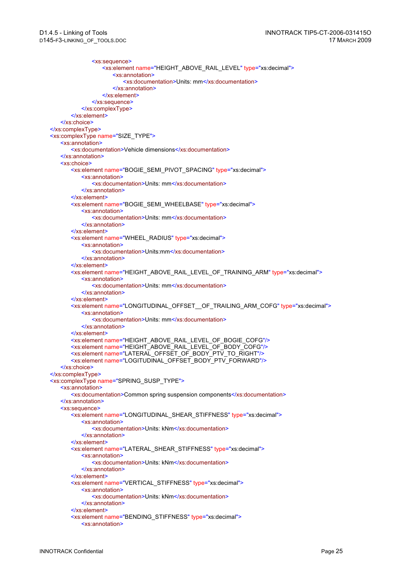<xs:sequence> <xs:element name="HEIGHT\_ABOVE\_RAIL\_LEVEL" type="xs:decimal"> <xs:annotation> <xs:documentation>Units: mm</xs:documentation> </xs:annotation> </xs:element> </xs:sequence> </xs:complexType> </xs:element> </xs:choice> </xs:complexType> <xs:complexType name="SIZE\_TYPE"> <xs:annotation> <xs:documentation>Vehicle dimensions</xs:documentation> </xs:annotation> <xs:choice> <xs:element name="BOGIE\_SEMI\_PIVOT\_SPACING" type="xs:decimal"> <xs:annotation> <xs:documentation>Units: mm</xs:documentation> </xs:annotation> </xs:element> <xs:element name="BOGIE\_SEMI\_WHEELBASE" type="xs:decimal"> <xs:annotation> <xs:documentation>Units: mm</xs:documentation> </xs:annotation> </xs:element> <xs:element name="WHEEL\_RADIUS" type="xs:decimal"> <xs:annotation> <xs:documentation>Units:mm</xs:documentation> </xs:annotation> </xs:element> <xs:element name="HEIGHT\_ABOVE\_RAIL\_LEVEL\_OF\_TRAINING\_ARM" type="xs:decimal"> <xs:annotation> <xs:documentation>Units: mm</xs:documentation> </xs:annotation> </xs:element> <xs:element name="LONGITUDINAL\_OFFSET\_\_OF\_TRAILING\_ARM\_COFG" type="xs:decimal"> <xs:annotation> <xs:documentation>Units: mm</xs:documentation> </xs:annotation> </xs:element> <xs:element name="HEIGHT\_ABOVE\_RAIL\_LEVEL\_OF\_BOGIE\_COFG"/> <xs:element name="HEIGHT\_ABOVE\_RAIL\_LEVEL\_OF\_BODY\_COFG"/> <xs:element name="LATERAL\_OFFSET\_OF\_BODY\_PTV\_TO\_RIGHT"/> <xs:element name="LOGITUDINAL\_OFFSET\_BODY\_PTV\_FORWARD"/> </xs:choice> </xs:complexType> <xs:complexType name="SPRING\_SUSP\_TYPE"> <xs:annotation> <xs:documentation>Common spring suspension components</xs:documentation> </xs:annotation> <xs:sequence> <xs:element name="LONGITUDINAL\_SHEAR\_STIFFNESS" type="xs:decimal"> <xs:annotation> <xs:documentation>Units: kNm</xs:documentation> </xs:annotation> </xs:element> <xs:element name="LATERAL\_SHEAR\_STIFFNESS" type="xs:decimal"> <xs:annotation> <xs:documentation>Units: kNm</xs:documentation> </xs:annotation> </xs:element> <xs:element name="VERTICAL\_STIFFNESS" type="xs:decimal"> <xs:annotation> <xs:documentation>Units: kNm</xs:documentation> </xs:annotation> </xs:element> <xs:element name="BENDING\_STIFFNESS" type="xs:decimal"> <xs:annotation>